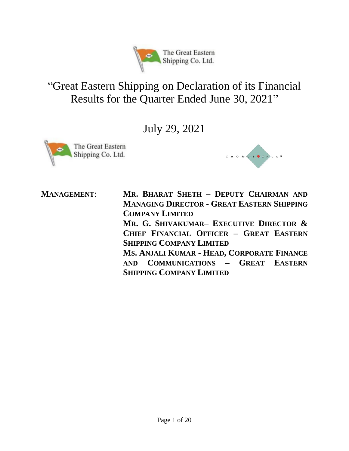

# "Great Eastern Shipping on Declaration of its Financial Results for the Quarter Ended June 30, 2021"

July 29, 2021





**MANAGEMENT**: **MR. BHARAT SHETH – DEPUTY CHAIRMAN AND MANAGING DIRECTOR - GREAT EASTERN SHIPPING COMPANY LIMITED MR. G. SHIVAKUMAR– EXECUTIVE DIRECTOR & CHIEF FINANCIAL OFFICER – GREAT EASTERN SHIPPING COMPANY LIMITED MS. ANJALI KUMAR - HEAD, CORPORATE FINANCE AND COMMUNICATIONS – GREAT EASTERN SHIPPING COMPANY LIMITED**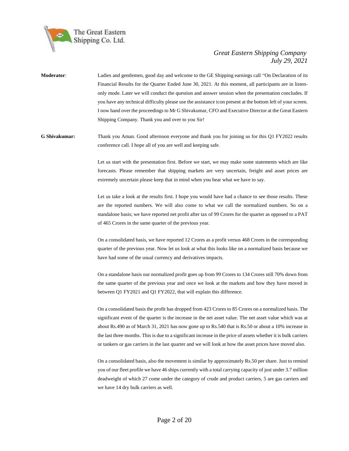

**Moderator**: Ladies and gentlemen, good day and welcome to the GE Shipping earnings call "On Declaration of its Financial Results for the Quarter Ended June 30, 2021. At this moment, all participants are in listenonly mode. Later we will conduct the question and answer session when the presentation concludes. If you have any technical difficulty please use the assistance icon present at the bottom left of your screen. I now hand over the proceedings to Mr G Shivakumar, CFO and Executive Director at the Great Eastern Shipping Company. Thank you and over to you Sir!

**G Shivakumar:** Thank you Aman. Good afternoon everyone and thank you for joining us for this Q1 FY2022 results conference call. I hope all of you are well and keeping safe.

> Let us start with the presentation first. Before we start, we may make some statements which are like forecasts. Please remember that shipping markets are very uncertain, freight and asset prices are extremely uncertain please keep that in mind when you hear what we have to say.

> Let us take a look at the results first. I hope you would have had a chance to see those results. These are the reported numbers. We will also come to what we call the normalized numbers. So on a standalone basis; we have reported net profit after tax of 99 Crores for the quarter as opposed to a PAT of 465 Crores in the same quarter of the previous year.

> On a consolidated basis, we have reported 12 Crores as a profit versus 468 Crores in the corresponding quarter of the previous year. Now let us look at what this looks like on a normalized basis because we have had some of the usual currency and derivatives impacts.

> On a standalone basis our normalized profit goes up from 99 Crores to 134 Crores still 70% down from the same quarter of the previous year and once we look at the markets and how they have moved in between Q1 FY2021 and Q1 FY2022, that will explain this difference.

> On a consolidated basis the profit has dropped from 423 Crores to 85 Crores on a normalized basis. The significant event of the quarter is the increase in the net asset value. The net asset value which was at about Rs.490 as of March 31, 2021 has now gone up to Rs.540 that is Rs.50 or about a 10% increase in the last three months. This is due to a significant increase in the price of assets whether it is bulk carriers or tankers or gas carriers in the last quarter and we will look at how the asset prices have moved also.

> On a consolidated basis, also the movement is similar by approximately Rs.50 per share. Just to remind you of our fleet profile we have 46 ships currently with a total carrying capacity of just under 3.7 million deadweight of which 27 come under the category of crude and product carriers, 5 are gas carriers and we have 14 dry bulk carriers as well.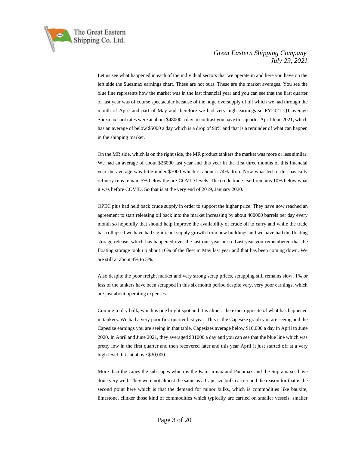

Let us see what happened in each of the individual sectors that we operate in and here you have on the left side the Suezmax earnings chart. These are not ours. These are the market averages. You see the blue line represents how the market was in the last financial year and you can see that the first quarter of last year was of course spectacular because of the huge oversupply of oil which we had through the month of April and part of May and therefore we had very high earnings so FY2021 Q1 average Suezmax spot rates were at about \$48000 a day in contrast you have this quarter April June 2021, which has an average of below \$5000 a day which is a drop of 90% and that is a reminder of what can happen in the shipping market.

On the MR side, which is on the right side, the MR product tankers the market was more or less similar. We had an average of about \$26000 last year and this year in the first three months of this financial year the average was little under \$7000 which is about a 74% drop. Now what led to this basically refinery runs remain 5% below the pre-COVID levels. The crude trade itself remains 10% below what it was before COVID. So that is at the very end of 2019, January 2020.

OPEC plus had held back crude supply in order to support the higher price. They have now reached an agreement to start releasing oil back into the market increasing by about 400000 barrels per day every month so hopefully that should help improve the availability of crude oil to carry and while the trade has collapsed we have had significant supply growth from new buildings and we have had the floating storage release, which has happened over the last one year or so. Last year you remembered that the floating storage took up about 10% of the fleet in May last year and that has been coming down. We are still at about 4% to 5%.

Also despite the poor freight market and very strong scrap prices, scrapping still remains slow. 1% or less of the tankers have been scrapped in this six month period despite very, very poor earnings, which are just about operating expenses.

Coming to dry bulk, which is one bright spot and it is almost the exact opposite of what has happened in tankers. We had a very poor first quarter last year. This is the Capesize graph you are seeing and the Capesize earnings you are seeing in that table. Capesizes average below \$10,000 a day in April to June 2020. In April and June 2021, they averaged \$31000 a day and you can see that the blue line which was pretty low in the first quarter and then recovered later and this year April it just started off at a very high level. It is at above \$30,000.

More than the capes the sub-capes which is the Kamsarmax and Panamax and the Supramaxes have done very well. They were not almost the same as a Capesize bulk carrier and the reason for that is the second point here which is that the demand for minor bulks, which is commodities like bauxite, limestone, clinker those kind of commodities which typically are carried on smaller vessels, smaller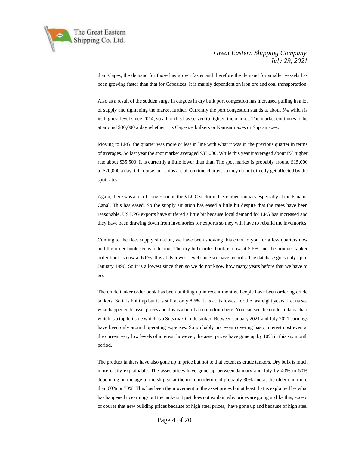

than Capes, the demand for those has grown faster and therefore the demand for smaller vessels has been growing faster than that for Capesizes. It is mainly dependent on iron ore and coal transportation.

Also as a result of the sudden surge in cargoes in dry bulk port congestion has increased pulling in a lot of supply and tightening the market further. Currently the port congestion stands at about 5% which is its highest level since 2014, so all of this has served to tighten the market. The market continues to be at around \$30,000 a day whether it is Capesize bulkers or Kamsarmaxes or Supramaxes.

Moving to LPG, the quarter was more or less in line with what it was in the previous quarter in terms of averages. So last year the spot market averaged \$33,000. While this year it averaged about 8% higher rate about \$35,500. It is currently a little lower than that. The spot market is probably around \$15,000 to \$20,000 a day. Of course, our ships are all on time charter. so they do not directly get affected by the spot rates.

Again, there was a lot of congestion in the VLGC sector in December-January especially at the Panama Canal. This has eased. So the supply situation has eased a little bit despite that the rates have been reasonable. US LPG exports have suffered a little bit because local demand for LPG has increased and they have been drawing down from inventories for exports so they will have to rebuild the inventories.

Coming to the fleet supply situation, we have been showing this chart to you for a few quarters now and the order book keeps reducing. The dry bulk order book is now at 5.6% and the product tanker order book is now at 6.6%. It is at its lowest level since we have records. The database goes only up to January 1996. So it is a lowest since then so we do not know how many years before that we have to go.

The crude tanker order book has been building up in recent months. People have been ordering crude tankers. So it is built up but it is still at only 8.6%. It is at its lowest for the last eight years. Let us see what happened to asset prices and this is a bit of a conundrum here. You can see the crude tankers chart which is a top left side which is a Suezmax Crude tanker. Between January 2021 and July 2021 earnings have been only around operating expenses. So probably not even covering basic interest cost even at the current very low levels of interest; however, the asset prices have gone up by 10% in this six month period.

The product tankers have also gone up in price but not to that extent as crude tankers. Dry bulk is much more easily explainable. The asset prices have gone up between January and July by 40% to 50% depending on the age of the ship so at the more modern end probably 30% and at the older end more than 60% or 70%. This has been the movement in the asset prices but at least that is explained by what has happened to earnings but the tankers it just does not explain why prices are going up like this, except of course that new building prices because of high steel prices, have gone up and because of high steel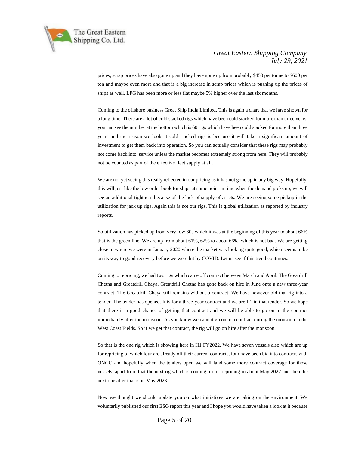

prices, scrap prices have also gone up and they have gone up from probably \$450 per tonne to \$600 per ton and maybe even more and that is a big increase in scrap prices which is pushing up the prices of ships as well. LPG has been more or less flat maybe 5% higher over the last six months.

Coming to the offshore business Great Ship India Limited. This is again a chart that we have shown for a long time. There are a lot of cold stacked rigs which have been cold stacked for more than three years, you can see the number at the bottom which is 60 rigs which have been cold stacked for more than three years and the reason we look at cold stacked rigs is because it will take a significant amount of investment to get them back into operation. So you can actually consider that these rigs may probably not come back into service unless the market becomes extremely strong from here. They will probably not be counted as part of the effective fleet supply at all.

We are not yet seeing this really reflected in our pricing as it has not gone up in any big way. Hopefully, this will just like the low order book for ships at some point in time when the demand picks up; we will see an additional tightness because of the lack of supply of assets. We are seeing some pickup in the utilization for jack up rigs. Again this is not our rigs. This is global utilization as reported by industry reports.

So utilization has picked up from very low 60s which it was at the beginning of this year to about 66% that is the green line. We are up from about 61%, 62% to about 66%, which is not bad. We are getting close to where we were in January 2020 where the market was looking quite good, which seems to be on its way to good recovery before we were hit by COVID. Let us see if this trend continues.

Coming to repricing, we had two rigs which came off contract between March and April. The Greatdrill Chetna and Greatdrill Chaya. Greatdrill Chetna has gone back on hire in June onto a new three-year contract. The Greatdrill Chaya still remains without a contract. We have however bid that rig into a tender. The tender has opened. It is for a three-year contract and we are L1 in that tender. So we hope that there is a good chance of getting that contract and we will be able to go on to the contract immediately after the monsoon. As you know we cannot go on to a contract during the monsoon in the West Coast Fields. So if we get that contract, the rig will go on hire after the monsoon.

So that is the one rig which is showing here in H1 FY2022. We have seven vessels also which are up for repricing of which four are already off their current contracts, four have been bid into contracts with ONGC and hopefully when the tenders open we will land some more contract coverage for those vessels. apart from that the next rig which is coming up for repricing in about May 2022 and then the next one after that is in May 2023.

Now we thought we should update you on what initiatives we are taking on the environment. We voluntarily published our first ESG report this year and I hope you would have taken a look at it because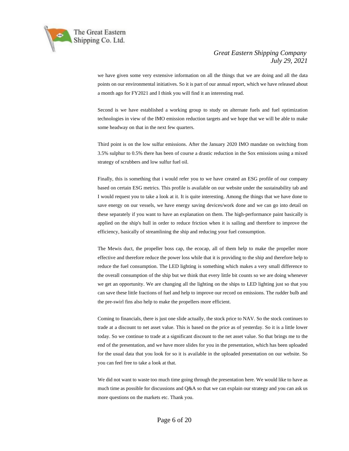

we have given some very extensive information on all the things that we are doing and all the data points on our environmental initiatives. So it is part of our annual report, which we have released about a month ago for FY2021 and I think you will find it an interesting read.

Second is we have established a working group to study on alternate fuels and fuel optimization technologies in view of the IMO emission reduction targets and we hope that we will be able to make some headway on that in the next few quarters.

Third point is on the low sulfur emissions. After the January 2020 IMO mandate on switching from 3.5% sulphur to 0.5% there has been of course a drastic reduction in the Sox emissions using a mixed strategy of scrubbers and low sulfur fuel oil.

Finally, this is something that i would refer you to we have created an ESG profile of our company based on certain ESG metrics. This profile is available on our website under the sustainability tab and I would request you to take a look at it. It is quite interesting. Among the things that we have done to save energy on our vessels, we have energy saving devices/work done and we can go into detail on these separately if you want to have an explanation on them. The high-performance paint basically is applied on the ship's hull in order to reduce friction when it is sailing and therefore to improve the efficiency, basically of streamlining the ship and reducing your fuel consumption.

The Mewis duct, the propeller boss cap, the ecocap, all of them help to make the propeller more effective and therefore reduce the power loss while that it is providing to the ship and therefore help to reduce the fuel consumption. The LED lighting is something which makes a very small difference to the overall consumption of the ship but we think that every little bit counts so we are doing whenever we get an opportunity. We are changing all the lighting on the ships to LED lighting just so that you can save these little fractions of fuel and help to improve our record on emissions. The rudder bulb and the pre-swirl fins also help to make the propellers more efficient.

Coming to financials, there is just one slide actually, the stock price to NAV. So the stock continues to trade at a discount to net asset value. This is based on the price as of yesterday. So it is a little lower today. So we continue to trade at a significant discount to the net asset value. So that brings me to the end of the presentation, and we have more slides for you in the presentation, which has been uploaded for the usual data that you look for so it is available in the uploaded presentation on our website. So you can feel free to take a look at that.

We did not want to waste too much time going through the presentation here. We would like to have as much time as possible for discussions and Q&A so that we can explain our strategy and you can ask us more questions on the markets etc. Thank you.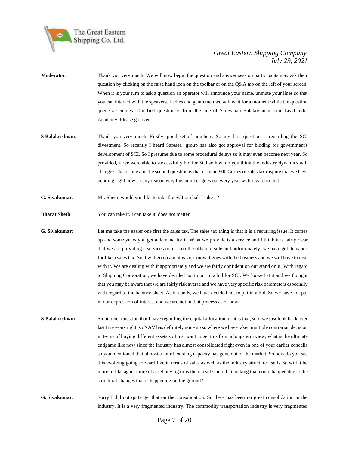

- **Moderator**: Thank you very much. We will now begin the question and answer session participants may ask their question by clicking on the raise hand icon on the toolbar or on the Q&A tab on the left of your screen. When it is your turn to ask a question an operator will announce your name, unmute your lines so that you can interact with the speakers. Ladies and gentlemen we will wait for a moment while the question queue assembles. Our first question is from the line of Saravanan Balakrishnan from Lead India Academy. Please go over.
- **S Balakrishnan**: Thank you very much. Firstly, good set of numbers. So my first question is regarding the SCI divestment. So recently I heard Safesea group has also got approval for bidding for government's development of SCI. So I presume due to some procedural delays so it may even become next year. So provided, if we were able to successfully bid for SCI so how do you think the industry dynamics will change? That is one and the second question is that is again 900 Crores of sales tax dispute that we have pending right now so any reason why this number goes up every year with regard to that.
- **G. Sivakumar**: Mr. Sheth, would you like to take the SCI or shall I take it?
- **Bharat Sheth:** You can take it. I can take it, does not matter.
- **G. Sivakumar:** Let me take the easier one first the sales tax. The sales tax thing is that it is a recurring issue. It comes up and some years you get a demand for it. What we provide is a service and I think it is fairly clear that we are providing a service and it is on the offshore side and unfortunately, we have got demands for like a sales tax. So it will go up and it is you know it goes with the business and we will have to deal with it. We are dealing with it appropriately and we are fairly confident on our stand on it. With regard to Shipping Corporation, we have decided not to put in a bid for SCI. We looked at it and we thought that you may be aware that we are fairly risk averse and we have very specific risk parameters especially with regard to the balance sheet. As it stands, we have decided not to put in a bid. So we have not put in our expression of interest and we are not in that process as of now.
- **S Balakrishnan:** Sir another question that I have regarding the capital allocation front is that, so if we just look back over last five years right, so NAV has definitely gone up so where we have taken multiple contrarian decision in terms of buying different assets so I just want to get this from a long-term view, what is the ultimate endgame like now since the industry has almost consolidated right even in one of your earlier concalls so you mentioned that almost a lot of existing capacity has gone out of the market. So how do you see this evolving going forward like in terms of sales as well as the industry structure itself? So will it be more of like again more of asset buying or is there a substantial unlocking that could happen due to the structural changes that is happening on the ground?
- **G. Sivakumar**: Sorry I did not quite get that on the consolidation. So there has been no great consolidation in the industry. It is a very fragmented industry. The commodity transportation industry is very fragmented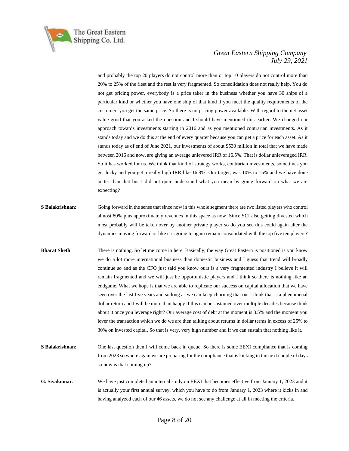

and probably the top 20 players do not control more than or top 10 players do not control more than 20% to 25% of the fleet and the rest is very fragmented. So consolidation does not really help. You do not get pricing power, everybody is a price taker in the business whether you have 30 ships of a particular kind or whether you have one ship of that kind if you meet the quality requirements of the customer, you get the same price. So there is no pricing power available. With regard to the net asset value good that you asked the question and I should have mentioned this earlier. We changed our approach towards investments starting in 2016 and as you mentioned contrarian investments. As it stands today and we do this at the end of every quarter because you can get a price for each asset. As it stands today as of end of June 2021, our investments of about \$530 million in total that we have made between 2016 and now, are giving an average unlevered IRR of 16.5%. That is dollar unleveraged IRR. So it has worked for us. We think that kind of strategy works, contrarian investments, sometimes you get lucky and you get a really high IRR like 16.8%. Our target, was 10% to 15% and we have done better than that but I did not quite understand what you mean by going forward on what we are expecting?

- **S Balakrishnan**: Going forward in the sense that since now in this whole segment there are two listed players who control almost 80% plus approximately revenues in this space as now. Since SCI also getting divested which most probably will be taken over by another private player so do you see this could again alter the dynamics moving forward or like it is going to again remain consolidated with the top five ten players?
- **Bharat Sheth**: There is nothing. So let me come in here. Basically, the way Great Eastern is positioned is you know we do a lot more international business than domestic business and I guess that trend will broadly continue so and as the CFO just said you know ours is a very fragmented industry I believe it will remain fragmented and we will just be opportunistic players and I think so there is nothing like an endgame. What we hope is that we are able to replicate our success on capital allocation that we have seen over the last five years and so long as we can keep churning that out I think that is a phenomenal dollar return and I will be more than happy if this can be sustained over multiple decades because think about it once you leverage right? Our average cost of debt at the moment is 3.5% and the moment you lever the transaction which we do we are then talking about returns in dollar terms in excess of 25% to 30% on invested capital. So that is very, very high number and if we can sustain that nothing like it.
- **S Balakrishnan**: One last question then I will come back in queue. So there is some EEXI compliance that is coming from 2023 so where again we are preparing for the compliance that is kicking in the next couple of days so how is that coming up?
- **G. Sivakumar**: We have just completed an internal study on EEXI that becomes effective from January 1, 2023 and it is actually your first annual survey, which you have to do from January 1, 2023 where it kicks in and having analyzed each of our 46 assets, we do not see any challenge at all in meeting the criteria.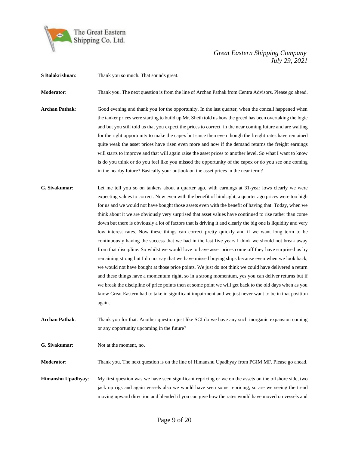

**S Balakrishnan**: Thank you so much. That sounds great.

**Moderator**: Thank you. The next question is from the line of Archan Pathak from Centra Advisors. Please go ahead.

- **Archan Pathak**: Good evening and thank you for the opportunity. In the last quarter, when the concall happened when the tanker prices were starting to build up Mr. Sheth told us how the greed has been overtaking the logic and but you still told us that you expect the prices to correct in the near coming future and are waiting for the right opportunity to make the capex but since then even though the freight rates have remained quite weak the asset prices have risen even more and now if the demand returns the freight earnings will starts to improve and that will again raise the asset prices to another level. So what I want to know is do you think or do you feel like you missed the opportunity of the capex or do you see one coming in the nearby future? Basically your outlook on the asset prices in the near term?
- **G. Sivakumar**: Let me tell you so on tankers about a quarter ago, with earnings at 31-year lows clearly we were expecting values to correct. Now even with the benefit of hindsight, a quarter ago prices were too high for us and we would not have bought those assets even with the benefit of having that. Today, when we think about it we are obviously very surprised that asset values have continued to rise rather than come down but there is obviously a lot of factors that is driving it and clearly the big one is liquidity and very low interest rates. Now these things can correct pretty quickly and if we want long term to be continuously having the success that we had in the last five years I think we should not break away from that discipline. So whilst we would love to have asset prices come off they have surprised us by remaining strong but I do not say that we have missed buying ships because even when we look back, we would not have bought at those price points. We just do not think we could have delivered a return and these things have a momentum right, so in a strong momentum, yes you can deliver returns but if we break the discipline of price points then at some point we will get back to the old days when as you know Great Eastern had to take in significant impairment and we just never want to be in that position again.
- **Archan Pathak**: Thank you for that. Another question just like SCI do we have any such inorganic expansion coming or any opportunity upcoming in the future?
- **G. Sivakumar**: Not at the moment, no.

**Moderator**: Thank you. The next question is on the line of Himanshu Upadhyay from PGIM MF. Please go ahead.

**Himanshu Upadhyay**: My first question was we have seen significant repricing or we on the assets on the offshore side, two jack up rigs and again vessels also we would have seen some repricing, so are we seeing the trend moving upward direction and blended if you can give how the rates would have moved on vessels and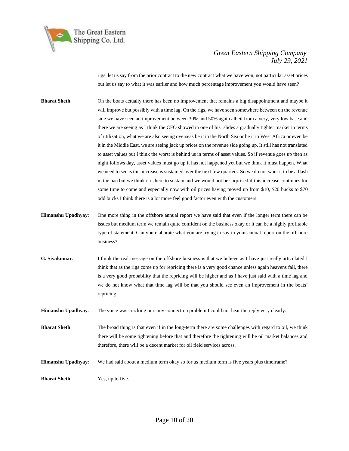

rigs, let us say from the prior contract to the new contract what we have won, not particular asset prices but let us say to what it was earlier and how much percentage improvement you would have seen?

- **Bharat Sheth**: On the boats actually there has been no improvement that remains a big disappointment and maybe it will improve but possibly with a time lag. On the rigs, we have seen somewhere between on the revenue side we have seen an improvement between 30% and 50% again albeit from a very, very low base and there we are seeing as I think the CFO showed in one of his slides a gradually tighter market in terms of utilization, what we are also seeing overseas be it in the North Sea or be it in West Africa or even be it in the Middle East, we are seeing jack up prices on the revenue side going up. It still has not translated to asset values but I think the worst is behind us in terms of asset values. So if revenue goes up then as night follows day, asset values must go up it has not happened yet but we think it must happen. What we need to see is this increase is sustained over the next few quarters. So we do not want it to be a flash in the pan but we think it is here to sustain and we would not be surprised if this increase continues for some time to come and especially now with oil prices having moved up from \$10, \$20 bucks to \$70 odd bucks I think there is a lot more feel good factor even with the customers.
- **Himanshu Upadhyay**: One more thing in the offshore annual report we have said that even if the longer term there can be issues but medium term we remain quite confident on the business okay or it can be a highly profitable type of statement. Can you elaborate what you are trying to say in your annual report on the offshore business?
- **G. Sivakumar**: I think the real message on the offshore business is that we believe as I have just really articulated I think that as the rigs come up for repricing there is a very good chance unless again heavens fall, there is a very good probability that the repricing will be higher and as I have just said with a time lag and we do not know what that time lag will be that you should see even an improvement in the boats' repricing.
- **Himanshu Upadhyay**: The voice was cracking or is my connection problem I could not hear the reply very clearly.
- **Bharat Sheth**: The broad thing is that even if in the long-term there are some challenges with regard to oil, we think there will be some tightening before that and therefore the tightening will be oil market balances and therefore, there will be a decent market for oil field services across.
- **Himanshu Upadhyay**: We had said about a medium term okay so for us medium term is five years plus timeframe?

**Bharat Sheth:** Yes, up to five.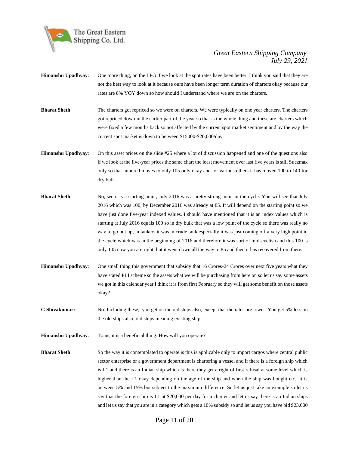

- **Himanshu Upadhyay**: One more thing, on the LPG if we look at the spot rates have been better, I think you said that they are not the best way to look at it because ours have been longer term duration of charters okay because our rates are 8% YOY down so how should I understand where we are on the charters.
- **Bharat Sheth**: The charters got repriced so we were on charters. We were typically on one year charters. The charters got repriced down in the earlier part of the year so that is the whole thing and these are charters which were fixed a few months back so not affected by the current spot market sentiment and by the way the current spot market is down to between \$15000-\$20,000/day.
- **Himanshu Upadhyay**: On this asset prices on the slide #25 where a lot of discussion happened and one of the questions also if we look at the five-year prices the same chart the least movement over last five years is still Suezmax only so that hundred moves to only 105 only okay and for various others it has moved 100 to 140 for dry bulk.
- **Bharat Sheth**: No, see it is a starting point, July 2016 was a pretty strong point in the cycle. You will see that July 2016 which was 100, by December 2016 was already at 85. It will depend on the starting point so we have just done five-year indexed values. I should have mentioned that it is an index values which is starting at July 2016 equals 100 so in dry bulk that was a low point of the cycle so there was really no way to go but up, in tankers it was in crude tank especially it was just coming off a very high point in the cycle which was in the beginning of 2016 and therefore it was sort of mid-cyclish and this 100 is only 105 now you are right, but it went down all the way to 85 and then it has recovered from there.
- **Himanshu Upadhyay**: One small thing this government that subsidy that 16 Crores-24 Crores over next five years what they have stated PLI scheme so the assets what we will be purchasing from here on so let us say some assets we got in this calendar year I think it is from first February so they will get some benefit on those assets okay?
- **G Shivakumar:** No. Including these, you get on the old ships also, except that the rates are lower. You get 5% less on the old ships also; old ships meaning existing ships.
- **Himanshu Upadhyay**: To us, it is a beneficial thing. How will you operate?
- **Bharat Sheth**: So the way it is contemplated to operate is this is applicable only to import cargos where central public sector enterprise or a government department is chartering a vessel and if there is a foreign ship which is L1 and there is an Indian ship which is there they get a right of first refusal at some level which is higher than the L1 okay depending on the age of the ship and when the ship was bought etc., it is between 5% and 15% but subject to the maximum difference. So let us just take an example so let us say that the foreign ship is L1 at \$20,000 per day for a charter and let us say there is an Indian ships and let us say that you are in a category which gets a 10% subsidy so and let us say you have bid \$23,000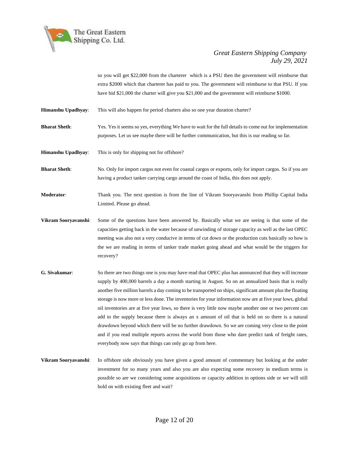

so you will get \$22,000 from the charterer which is a PSU then the government will reimburse that extra \$2000 which that charterer has paid to you. The government will reimburse to that PSU. If you have bid \$21,000 the charter will give you \$21,000 and the government will reimburse \$1000.

**Himanshu Upadhyay**: This will also happen for period charters also so one year duration charter?

**Bharat Sheth**: Yes. Yes it seems so yes, everything We have to wait for the full details to come out for implementation purposes. Let us see maybe there will be further communication, but this is our reading so far.

**Himanshu Upadhyay**: This is only for shipping not for offshore?

**Bharat Sheth**: No. Only for import cargos not even for coastal cargos or exports, only for import cargos. So if you are having a product tanker carrying cargo around the coast of India, this does not apply.

**Moderator**: Thank you. The next question is from the line of Vikram Sooryavanshi from Phillip Capital India Limited. Please go ahead.

**Vikram Sooryavanshi**: Some of the questions have been answered by. Basically what we are seeing is that some of the capacities getting back in the water because of unwinding of storage capacity as well as the last OPEC meeting was also not a very conducive in terms of cut down or the production cuts basically so how is the we are reading in terms of tanker trade market going ahead and what would be the triggers for recovery?

- **G. Sivakumar**: So there are two things one is you may have read that OPEC plus has announced that they will increase supply by 400,000 barrels a day a month starting in August. So on an annualized basis that is really another five million barrels a day coming to be transported on ships, significant amount plus the floating storage is now more or less done. The inventories for your information now are at five year lows, global oil inventories are at five year lows, so there is very little now maybe another one or two percent can add to the supply because there is always an x amount of oil that is held on so there is a natural drawdown beyond which there will be no further drawdown. So we are coming very close to the point and if you read multiple reports across the world from those who dare predict tank of freight rates, everybody now says that things can only go up from here.
- **Vikram Sooryavanshi**: In offshore side obviously you have given a good amount of commentary but looking at the under investment for so many years and also you are also expecting some recovery in medium terms is possible so are we considering some acquisitions or capacity addition in options side or we will still hold on with existing fleet and wait?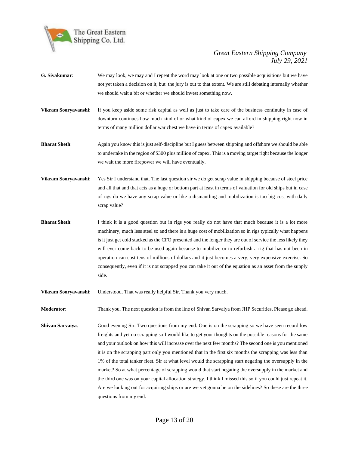

- **G. Sivakumar**: We may look, we may and I repeat the word may look at one or two possible acquisitions but we have not yet taken a decision on it, but the jury is out to that extent. We are still debating internally whether we should wait a bit or whether we should invest something now.
- **Vikram Sooryavanshi**: If you keep aside some risk capital as well as just to take care of the business continuity in case of downturn continues how much kind of or what kind of capex we can afford in shipping right now in terms of many million dollar war chest we have in terms of capex available?
- **Bharat Sheth**: Again you know this is just self-discipline but I guess between shipping and offshore we should be able to undertake in the region of \$300 plus million of capex. This is a moving target right because the longer we wait the more firepower we will have eventually.
- **Vikram Sooryavanshi**: Yes Sir I understand that. The last question sir we do get scrap value in shipping because of steel price and all that and that acts as a huge or bottom part at least in terms of valuation for old ships but in case of rigs do we have any scrap value or like a dismantling and mobilization is too big cost with daily scrap value?
- **Bharat Sheth**: I think it is a good question but in rigs you really do not have that much because it is a lot more machinery, much less steel so and there is a huge cost of mobilization so in rigs typically what happens is it just get cold stacked as the CFO presented and the longer they are out of service the less likely they will ever come back to be used again because to mobilize or to refurbish a rig that has not been in operation can cost tens of millions of dollars and it just becomes a very, very expensive exercise. So consequently, even if it is not scrapped you can take it out of the equation as an asset from the supply side.
- **Vikram Sooryavanshi**: Understood. That was really helpful Sir. Thank you very much.

**Moderator**: Thank you. The next question is from the line of Shivan Sarvaiya from JHP Securities. Please go ahead.

**Shivan Sarvaiya:** Good evening Sir. Two questions from my end. One is on the scrapping so we have seen record low freights and yet no scrapping so I would like to get your thoughts on the possible reasons for the same and your outlook on how this will increase over the next few months? The second one is you mentioned it is on the scrapping part only you mentioned that in the first six months the scrapping was less than 1% of the total tanker fleet. Sir at what level would the scrapping start negating the oversupply in the market? So at what percentage of scrapping would that start negating the oversupply in the market and the third one was on your capital allocation strategy. I think I missed this so if you could just repeat it. Are we looking out for acquiring ships or are we yet gonna be on the sidelines? So these are the three questions from my end.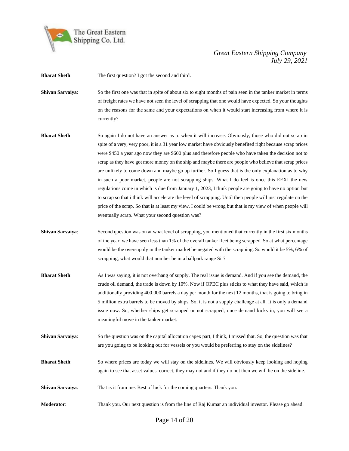

**Bharat Sheth:** The first question? I got the second and third.

**Shivan Sarvaiya:** So the first one was that in spite of about six to eight months of pain seen in the tanker market in terms of freight rates we have not seen the level of scrapping that one would have expected. So your thoughts on the reasons for the same and your expectations on when it would start increasing from where it is currently?

- **Bharat Sheth**: So again I do not have an answer as to when it will increase. Obviously, those who did not scrap in spite of a very, very poor, it is a 31 year low market have obviously benefited right because scrap prices were \$450 a year ago now they are \$600 plus and therefore people who have taken the decision not to scrap as they have got more money on the ship and maybe there are people who believe that scrap prices are unlikely to come down and maybe go up further. So I guess that is the only explanation as to why in such a poor market, people are not scrapping ships. What I do feel is once this EEXI the new regulations come in which is due from January 1, 2023, I think people are going to have no option but to scrap so that i think will accelerate the level of scrapping. Until then people will just regulate on the price of the scrap. So that is at least my view. I could be wrong but that is my view of when people will eventually scrap. What your second question was?
- **Shivan Sarvaiya**: Second question was on at what level of scrapping, you mentioned that currently in the first six months of the year, we have seen less than 1% of the overall tanker fleet being scrapped. So at what percentage would be the oversupply in the tanker market be negated with the scrapping. So would it be 5%, 6% of scrapping, what would that number be in a ballpark range Sir?
- **Bharat Sheth**: As I was saying, it is not overhang of supply. The real issue is demand. And if you see the demand, the crude oil demand, the trade is down by 10%. Now if OPEC plus sticks to what they have said, which is additionally providing 400,000 barrels a day per month for the next 12 months, that is going to bring in 5 million extra barrels to be moved by ships. So, it is not a supply challenge at all. It is only a demand issue now. So, whether ships get scrapped or not scrapped, once demand kicks in, you will see a meaningful move in the tanker market.
- **Shivan Sarvaiva:** So the question was on the capital allocation capex part, I think, I missed that. So, the question was that are you going to be looking out for vessels or you would be preferring to stay on the sidelines?
- **Bharat Sheth**: So where prices are today we will stay on the sidelines. We will obviously keep looking and hoping again to see that asset values correct, they may not and if they do not then we will be on the sideline.
- **Shivan Sarvaiya:** That is it from me. Best of luck for the coming quarters. Thank you.
- **Moderator**: Thank you. Our next question is from the line of Raj Kumar an individual investor. Please go ahead.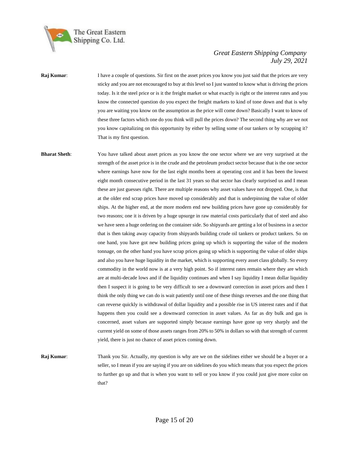

- **Raj Kumar:** I have a couple of questions. Sir first on the asset prices you know you just said that the prices are very sticky and you are not encouraged to buy at this level so I just wanted to know what is driving the prices today. Is it the steel price or is it the freight market or what exactly is right or the interest rates and you know the connected question do you expect the freight markets to kind of tone down and that is why you are waiting you know on the assumption as the price will come down? Basically I want to know of these three factors which one do you think will pull the prices down? The second thing why are we not you know capitalizing on this opportunity by either by selling some of our tankers or by scrapping it? That is my first question.
- **Bharat Sheth**: You have talked about asset prices as you know the one sector where we are very surprised at the strength of the asset price is in the crude and the petroleum product sector because that is the one sector where earnings have now for the last eight months been at operating cost and it has been the lowest eight month consecutive period in the last 31 years so that sector has clearly surprised us and I mean these are just guesses right. There are multiple reasons why asset values have not dropped. One, is that at the older end scrap prices have moved up considerably and that is underpinning the value of older ships. At the higher end, at the more modern end new building prices have gone up considerably for two reasons; one it is driven by a huge upsurge in raw material costs particularly that of steel and also we have seen a huge ordering on the container side. So shipyards are getting a lot of business in a sector that is then taking away capacity from shipyards building crude oil tankers or product tankers. So on one hand, you have got new building prices going up which is supporting the value of the modern tonnage, on the other hand you have scrap prices going up which is supporting the value of older ships and also you have huge liquidity in the market, which is supporting every asset class globally. So every commodity in the world now is at a very high point. So if interest rates remain where they are which are at multi-decade lows and if the liquidity continues and when I say liquidity I mean dollar liquidity then I suspect it is going to be very difficult to see a downward correction in asset prices and then I think the only thing we can do is wait patiently until one of these things reverses and the one thing that can reverse quickly is withdrawal of dollar liquidity and a possible rise in US interest rates and if that happens then you could see a downward correction in asset values. As far as dry bulk and gas is concerned, asset values are supported simply because earnings have gone up very sharply and the current yield on some of those assets ranges from 20% to 50% in dollars so with that strength of current yield, there is just no chance of asset prices coming down.
- **Raj Kumar**: Thank you Sir. Actually, my question is why are we on the sidelines either we should be a buyer or a seller, so I mean if you are saying if you are on sidelines do you which means that you expect the prices to further go up and that is when you want to sell or you know if you could just give more color on that?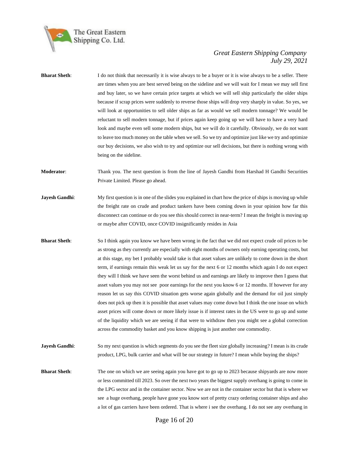

| <b>Bharat Sheth:</b> | I do not think that necessarily it is wise always to be a buyer or it is wise always to be a seller. There<br>are times when you are best served being on the sideline and we will wait for I mean we may sell first<br>and buy later, so we have certain price targets at which we will sell ship particularly the older ships<br>because if scrap prices were suddenly to reverse those ships will drop very sharply in value. So yes, we<br>will look at opportunities to sell older ships as far as would we sell modern tonnage? We would be<br>reluctant to sell modern tonnage, but if prices again keep going up we will have to have a very hard<br>look and maybe even sell some modern ships, but we will do it carefully. Obviously, we do not want<br>to leave too much money on the table when we sell. So we try and optimize just like we try and optimize<br>our buy decisions, we also wish to try and optimize our sell decisions, but there is nothing wrong with<br>being on the sideline.                                                                                                                                                                  |
|----------------------|----------------------------------------------------------------------------------------------------------------------------------------------------------------------------------------------------------------------------------------------------------------------------------------------------------------------------------------------------------------------------------------------------------------------------------------------------------------------------------------------------------------------------------------------------------------------------------------------------------------------------------------------------------------------------------------------------------------------------------------------------------------------------------------------------------------------------------------------------------------------------------------------------------------------------------------------------------------------------------------------------------------------------------------------------------------------------------------------------------------------------------------------------------------------------------|
| Moderator:           | Thank you. The next question is from the line of Jayesh Gandhi from Harshad H Gandhi Securities<br>Private Limited. Please go ahead.                                                                                                                                                                                                                                                                                                                                                                                                                                                                                                                                                                                                                                                                                                                                                                                                                                                                                                                                                                                                                                             |
| Jayesh Gandhi:       | My first question is in one of the slides you explained in chart how the price of ships is moving up while<br>the freight rate on crude and product tankers have been coming down in your opinion how far this<br>disconnect can continue or do you see this should correct in near-term? I mean the freight is moving up<br>or maybe after COVID, once COVID insignificantly resides in Asia                                                                                                                                                                                                                                                                                                                                                                                                                                                                                                                                                                                                                                                                                                                                                                                    |
| <b>Bharat Sheth:</b> | So I think again you know we have been wrong in the fact that we did not expect crude oil prices to be<br>as strong as they currently are especially with eight months of owners only earning operating costs, but<br>at this stage, my bet I probably would take is that asset values are unlikely to come down in the short<br>term, if earnings remain this weak let us say for the next 6 or 12 months which again I do not expect<br>they will I think we have seen the worst behind us and earnings are likely to improve then I guess that<br>asset values you may not see poor earnings for the next you know 6 or 12 months. If however for any<br>reason let us say this COVID situation gets worse again globally and the demand for oil just simply<br>does not pick up then it is possible that asset values may come down but I think the one issue on which<br>asset prices will come down or more likely issue is if interest rates in the US were to go up and some<br>of the liquidity which we are seeing if that were to withdraw then you might see a global correction<br>across the commodity basket and you know shipping is just another one commodity. |
| Jayesh Gandhi:       | So my next question is which segments do you see the fleet size globally increasing? I mean is its crude<br>product, LPG, bulk carrier and what will be our strategy in future? I mean while buying the ships?                                                                                                                                                                                                                                                                                                                                                                                                                                                                                                                                                                                                                                                                                                                                                                                                                                                                                                                                                                   |
| <b>Bharat Sheth:</b> | The one on which we are seeing again you have got to go up to 2023 because shipyards are now more<br>or less committed till 2023. So over the next two years the biggest supply overhang is going to come in<br>the LPG sector and in the container sector. Now we are not in the container sector but that is where we<br>see a huge overhang, people have gone you know sort of pretty crazy ordering container ships and also<br>a lot of gas carriers have been ordered. That is where i see the overhang. I do not see any overhang in                                                                                                                                                                                                                                                                                                                                                                                                                                                                                                                                                                                                                                      |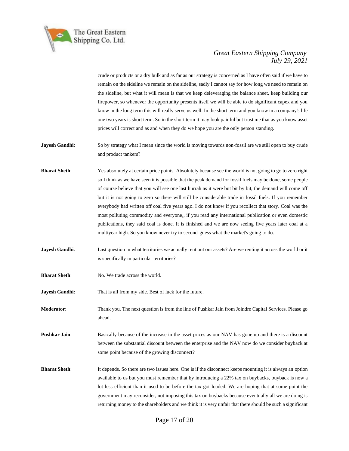

crude or products or a dry bulk and as far as our strategy is concerned as I have often said if we have to remain on the sideline we remain on the sideline, sadly I cannot say for how long we need to remain on the sideline, but what it will mean is that we keep deleveraging the balance sheet, keep building our firepower, so whenever the opportunity presents itself we will be able to do significant capex and you know in the long term this will really serve us well. In the short term and you know in a company's life one two years is short term. So in the short term it may look painful but trust me that as you know asset prices will correct and as and when they do we hope you are the only person standing.

**Jayesh Gandhi:** So by strategy what I mean since the world is moving towards non-fossil are we still open to buy crude and product tankers?

- **Bharat Sheth**: Yes absolutely at certain price points. Absolutely because see the world is not going to go to zero right so I think as we have seen it is possible that the peak demand for fossil fuels may be done, some people of course believe that you will see one last hurrah as it were but bit by bit, the demand will come off but it is not going to zero so there will still be considerable trade in fossil fuels. If you remember everybody had written off coal five years ago. I do not know if you recollect that story. Coal was the most polluting commodity and everyone,, if you read any international publication or even domestic publications, they said coal is done. It is finished and we are now seeing five years later coal at a multiyear high. So you know never try to second-guess what the market's going to do.
- **Jayesh Gandhi:** Last question in what territories we actually rent out our assets? Are we renting it across the world or it is specifically in particular territories?
- **Bharat Sheth:** No. We trade across the world.
- **Jayesh Gandhi:** That is all from my side. Best of luck for the future.

**Moderator**: Thank you. The next question is from the line of Pushkar Jain from Joindre Capital Services. Please go ahead.

**Pushkar Jain:** Basically because of the increase in the asset prices as our NAV has gone up and there is a discount between the substantial discount between the enterprise and the NAV now do we consider buyback at some point because of the growing disconnect?

**Bharat Sheth**: It depends. So there are two issues here. One is if the disconnect keeps mounting it is always an option available to us but you must remember that by introducing a 22% tax on buybacks, buyback is now a lot less efficient than it used to be before the tax got loaded. We are hoping that at some point the government may reconsider, not imposing this tax on buybacks because eventually all we are doing is returning money to the shareholders and we think it is very unfair that there should be such a significant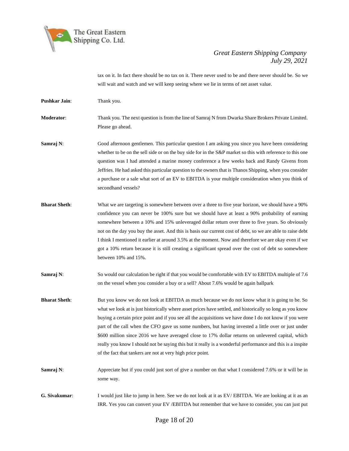

tax on it. In fact there should be no tax on it. There never used to be and there never should be. So we will wait and watch and we will keep seeing where we lie in terms of net asset value.

**Pushkar Jain**: Thank you.

**Moderator**: Thank you. The next question is from the line of Samraj N from Dwarka Share Brokers Private Limited. Please go ahead.

- **Samraj N:** Good afternoon gentlemen. This particular question I am asking you since you have been considering whether to be on the sell side or on the buy side for in the S&P market so this with reference to this one question was I had attended a marine money conference a few weeks back and Randy Givens from Jeffries. He had asked this particular question to the owners that is Thanos Shipping, when you consider a purchase or a sale what sort of an EV to EBITDA is your multiple consideration when you think of secondhand vessels?
- **Bharat Sheth**: What we are targeting is somewhere between over a three to five year horizon, we should have a 90% confidence you can never be 100% sure but we should have at least a 90% probability of earning somewhere between a 10% and 15% unleveraged dollar return over three to five years. So obviously not on the day you buy the asset. And this is basis our current cost of debt, so we are able to raise debt I think I mentioned it earlier at around 3.5% at the moment. Now and therefore we are okay even if we got a 10% return because it is still creating a significant spread over the cost of debt so somewhere between 10% and 15%.
- **Samraj N:** So would our calculation be right if that you would be comfortable with EV to EBITDA multiple of 7.6 on the vessel when you consider a buy or a sell? About 7.6% would be again ballpark
- **Bharat Sheth**: But you know we do not look at EBITDA as much because we do not know what it is going to be. So what we look at is just historically where asset prices have settled, and historically so long as you know buying a certain price point and if you see all the acquisitions we have done I do not know if you were part of the call when the CFO gave us some numbers, but having invested a little over or just under \$600 million since 2016 we have averaged close to 17% dollar returns on unlevered capital, which really you know I should not be saying this but it really is a wonderful performance and this is a inspite of the fact that tankers are not at very high price point.
- **Samraj N:** Appreciate but if you could just sort of give a number on that what I considered 7.6% or it will be in some way.
- **G. Sivakumar**: I would just like to jump in here. See we do not look at it as EV/ EBITDA. We are looking at it as an IRR. Yes you can convert your EV /EBITDA but remember that we have to consider, you can just put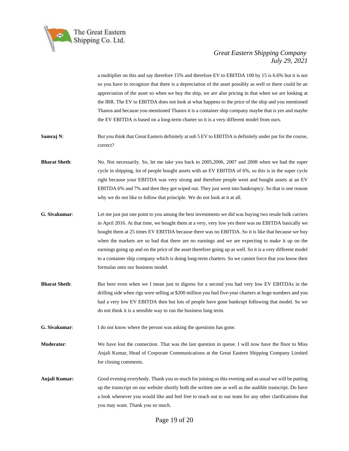

a multiplier on this and say therefore 15% and therefore EV to EBITDA 100 by 15 is 6.6% but it is not so you have to recognize that there is a depreciation of the asset possibly as well or there could be an appreciation of the asset so when we buy the ship, we are also pricing in that when we are looking at the IRR. The EV to EBITDA does not look at what happens to the price of the ship and you mentioned Thanos and because you mentioned Thanos it is a container ship company maybe that is yes and maybe the EV EBITDA is based on a long-term charter so it is a very different model from ours.

**Samraj N:** But you think that Great Eastern definitely at sub 5 EV to EBITDA is definitely under par for the course, correct?

- **Bharat Sheth**: No. Not necessarily. So, let me take you back to 2005,2006, 2007 and 2008 when we had the super cycle in shipping, lot of people bought assets with an EV EBITDA of 6%, so this is in the super cycle right because your EBITDA was very strong and therefore people went and bought assets at an EV EBITDA 6% and 7% and then they got wiped out. They just went into bankruptcy. So that is one reason why we do not like to follow that principle. We do not look at it at all.
- **G. Sivakumar**: Let me just put one point to you among the best investments we did was buying two resale bulk carriers in April 2016. At that time, we bought them at a very, very low yes there was no EBITDA basically we bought them at 25 times EV EBITDA because there was no EBITDA. So it is like that because we buy when the markets are so bad that there are no earnings and we are expecting to make it up on the earnings going up and on the price of the asset therefore going up as well. So it is a very different model to a container ship company which is doing long-term charters. So we cannot force that you know their formulas onto our business model.
- **Bharat Sheth**: But here even when we I mean just to digress for a second you had very low EV EBITDAs in the drilling side when rigs were selling at \$200 million you had five-year charters at huge numbers and you had a very low EV EBITDA then but lots of people have gone bankrupt following that model. So we do not think it is a sensible way to run the business long term.
- **G. Sivakumar:** I do not know where the person was asking the questions has gone.
- **Moderator**: We have lost the connection. That was the last question in queue. I will now have the floor to Miss Anjali Kumar, Head of Corporate Communications at the Great Eastern Shipping Company Limited for closing comments.
- **Anjali Kumar:** Good evening everybody. Thank you so much for joining us this evening and as usual we will be putting up the transcript on our website shortly both the written one as well as the audible transcript. Do have a look whenever you would like and feel free to reach out to our team for any other clarifications that you may want. Thank you so much.